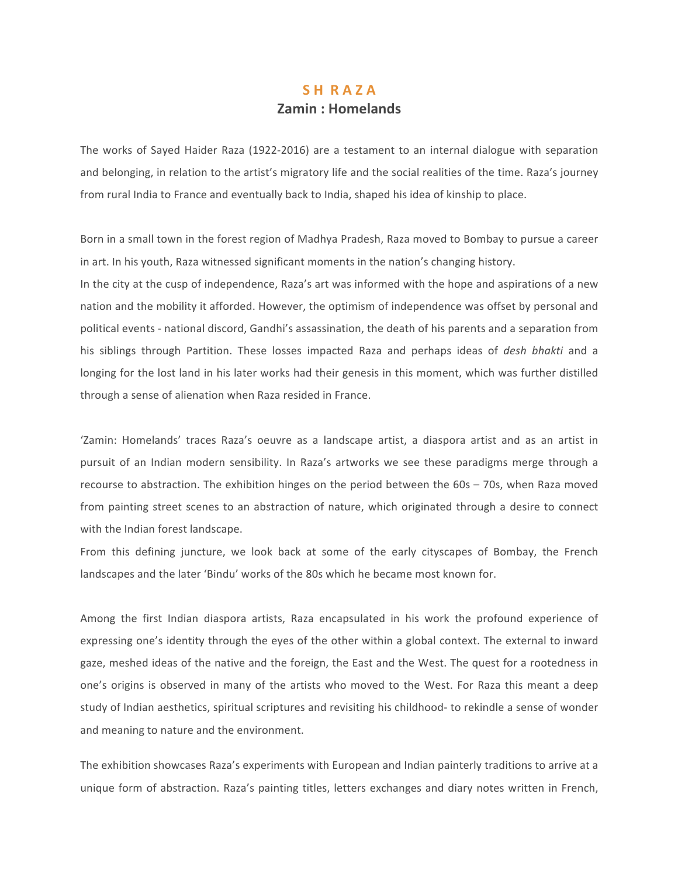# SH RAZA **Zamin: Homelands**

The works of Sayed Haider Raza (1922-2016) are a testament to an internal dialogue with separation and belonging, in relation to the artist's migratory life and the social realities of the time. Raza's journey from rural India to France and eventually back to India, shaped his idea of kinship to place.

Born in a small town in the forest region of Madhya Pradesh, Raza moved to Bombay to pursue a career in art. In his youth, Raza witnessed significant moments in the nation's changing history.

In the city at the cusp of independence, Raza's art was informed with the hope and aspirations of a new nation and the mobility it afforded. However, the optimism of independence was offset by personal and political events - national discord, Gandhi's assassination, the death of his parents and a separation from his siblings through Partition. These losses impacted Raza and perhaps ideas of *desh bhakti* and a longing for the lost land in his later works had their genesis in this moment, which was further distilled through a sense of alienation when Raza resided in France.

'Zamin: Homelands' traces Raza's oeuvre as a landscape artist, a diaspora artist and as an artist in pursuit of an Indian modern sensibility. In Raza's artworks we see these paradigms merge through a recourse to abstraction. The exhibition hinges on the period between the  $60s - 70s$ , when Raza moved from painting street scenes to an abstraction of nature, which originated through a desire to connect with the Indian forest landscape.

From this defining juncture, we look back at some of the early cityscapes of Bombay, the French landscapes and the later 'Bindu' works of the 80s which he became most known for.

Among the first Indian diaspora artists, Raza encapsulated in his work the profound experience of expressing one's identity through the eyes of the other within a global context. The external to inward gaze, meshed ideas of the native and the foreign, the East and the West. The quest for a rootedness in one's origins is observed in many of the artists who moved to the West. For Raza this meant a deep study of Indian aesthetics, spiritual scriptures and revisiting his childhood- to rekindle a sense of wonder and meaning to nature and the environment.

The exhibition showcases Raza's experiments with European and Indian painterly traditions to arrive at a unique form of abstraction. Raza's painting titles, letters exchanges and diary notes written in French,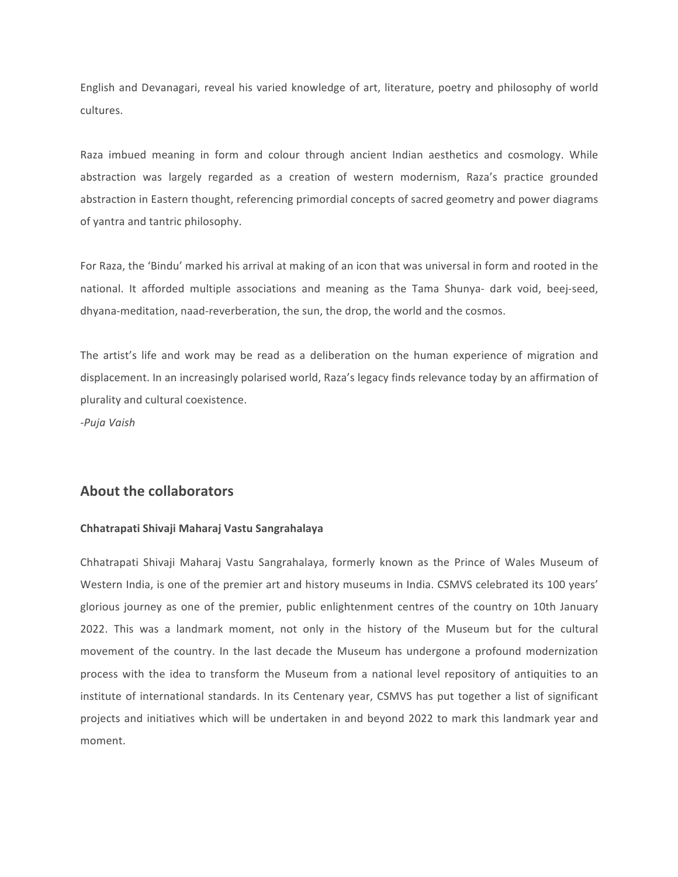English and Devanagari, reveal his varied knowledge of art, literature, poetry and philosophy of world cultures.

Raza imbued meaning in form and colour through ancient Indian aesthetics and cosmology. While abstraction was largely regarded as a creation of western modernism, Raza's practice grounded abstraction in Eastern thought, referencing primordial concepts of sacred geometry and power diagrams of yantra and tantric philosophy.

For Raza, the 'Bindu' marked his arrival at making of an icon that was universal in form and rooted in the national. It afforded multiple associations and meaning as the Tama Shunya- dark void, beej-seed, dhyana-meditation, naad-reverberation, the sun, the drop, the world and the cosmos.

The artist's life and work may be read as a deliberation on the human experience of migration and displacement. In an increasingly polarised world, Raza's legacy finds relevance today by an affirmation of plurality and cultural coexistence.

-*Puja Vaish*

## **About the collaborators**

## **Chhatrapati Shivaji Maharaj Vastu Sangrahalaya**

Chhatrapati Shivaji Maharaj Vastu Sangrahalaya, formerly known as the Prince of Wales Museum of Western India, is one of the premier art and history museums in India. CSMVS celebrated its 100 years' glorious journey as one of the premier, public enlightenment centres of the country on 10th January 2022. This was a landmark moment, not only in the history of the Museum but for the cultural movement of the country. In the last decade the Museum has undergone a profound modernization process with the idea to transform the Museum from a national level repository of antiquities to an institute of international standards. In its Centenary year, CSMVS has put together a list of significant projects and initiatives which will be undertaken in and beyond 2022 to mark this landmark year and moment.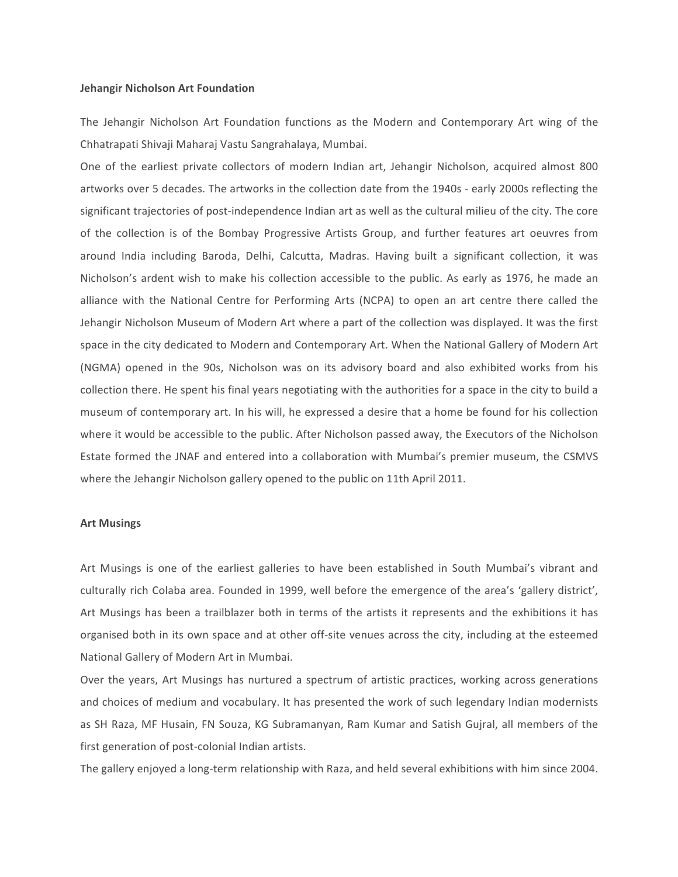#### **Jehangir Nicholson Art Foundation**

The Jehangir Nicholson Art Foundation functions as the Modern and Contemporary Art wing of the Chhatrapati Shivaji Maharaj Vastu Sangrahalaya, Mumbai.

One of the earliest private collectors of modern Indian art, Jehangir Nicholson, acquired almost 800 artworks over 5 decades. The artworks in the collection date from the 1940s - early 2000s reflecting the significant trajectories of post-independence Indian art as well as the cultural milieu of the city. The core of the collection is of the Bombay Progressive Artists Group, and further features art oeuvres from around India including Baroda, Delhi, Calcutta, Madras. Having built a significant collection, it was Nicholson's ardent wish to make his collection accessible to the public. As early as 1976, he made an alliance with the National Centre for Performing Arts (NCPA) to open an art centre there called the Jehangir Nicholson Museum of Modern Art where a part of the collection was displayed. It was the first space in the city dedicated to Modern and Contemporary Art. When the National Gallery of Modern Art (NGMA) opened in the 90s, Nicholson was on its advisory board and also exhibited works from his collection there. He spent his final years negotiating with the authorities for a space in the city to build a museum of contemporary art. In his will, he expressed a desire that a home be found for his collection where it would be accessible to the public. After Nicholson passed away, the Executors of the Nicholson Estate formed the JNAF and entered into a collaboration with Mumbai's premier museum, the CSMVS where the Jehangir Nicholson gallery opened to the public on 11th April 2011.

## **Art Musings**

Art Musings is one of the earliest galleries to have been established in South Mumbai's vibrant and culturally rich Colaba area. Founded in 1999, well before the emergence of the area's 'gallery district', Art Musings has been a trailblazer both in terms of the artists it represents and the exhibitions it has organised both in its own space and at other off-site venues across the city, including at the esteemed National Gallery of Modern Art in Mumbai.

Over the years, Art Musings has nurtured a spectrum of artistic practices, working across generations and choices of medium and vocabulary. It has presented the work of such legendary Indian modernists as SH Raza, MF Husain, FN Souza, KG Subramanyan, Ram Kumar and Satish Gujral, all members of the first generation of post-colonial Indian artists.

The gallery enjoyed a long-term relationship with Raza, and held several exhibitions with him since 2004.